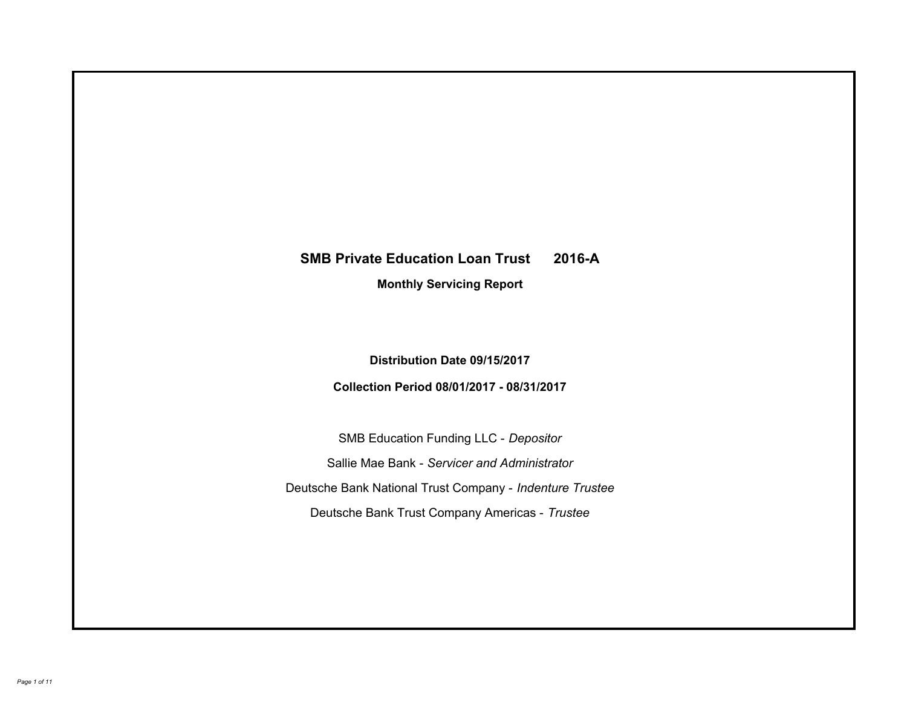# **SMB Private Education Loan Trust 2016-A Monthly Servicing Report**

**Distribution Date 09/15/2017**

**Collection Period 08/01/2017 - 08/31/2017**

SMB Education Funding LLC - *Depositor* Sallie Mae Bank - *Servicer and Administrator* Deutsche Bank National Trust Company - *Indenture Trustee* Deutsche Bank Trust Company Americas - *Trustee*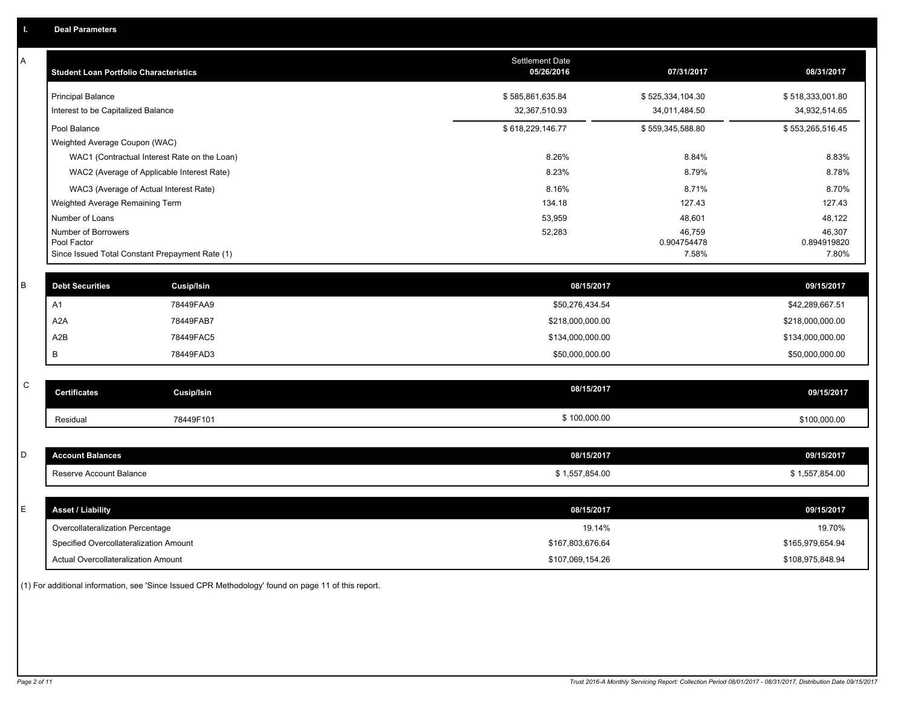| Α           | <b>Student Loan Portfolio Characteristics</b>                  |                   | <b>Settlement Date</b><br>05/26/2016 | 07/31/2017           | 08/31/2017           |
|-------------|----------------------------------------------------------------|-------------------|--------------------------------------|----------------------|----------------------|
|             | <b>Principal Balance</b>                                       |                   | \$585,861,635.84                     | \$525,334,104.30     | \$518,333,001.80     |
|             | Interest to be Capitalized Balance                             |                   | 32,367,510.93                        | 34,011,484.50        | 34,932,514.65        |
|             | Pool Balance                                                   |                   | \$618,229,146.77                     | \$559,345,588.80     | \$553,265,516.45     |
|             | Weighted Average Coupon (WAC)                                  |                   |                                      |                      |                      |
|             | WAC1 (Contractual Interest Rate on the Loan)                   |                   | 8.26%                                | 8.84%                | 8.83%                |
|             | WAC2 (Average of Applicable Interest Rate)                     |                   | 8.23%                                | 8.79%                | 8.78%                |
|             | WAC3 (Average of Actual Interest Rate)                         |                   | 8.16%                                | 8.71%                | 8.70%                |
|             | Weighted Average Remaining Term                                |                   | 134.18                               | 127.43               | 127.43               |
|             | Number of Loans                                                |                   | 53,959                               | 48,601               | 48,122               |
|             | Number of Borrowers                                            |                   | 52,283                               | 46,759               | 46,307               |
|             | Pool Factor<br>Since Issued Total Constant Prepayment Rate (1) |                   |                                      | 0.904754478<br>7.58% | 0.894919820<br>7.80% |
|             |                                                                |                   |                                      |                      |                      |
| B           | <b>Debt Securities</b>                                         | <b>Cusip/Isin</b> | 08/15/2017                           |                      | 09/15/2017           |
|             | A1                                                             | 78449FAA9         | \$50,276,434.54                      |                      | \$42,289,667.51      |
|             | A <sub>2</sub> A                                               | 78449FAB7         | \$218,000,000.00                     |                      | \$218,000,000.00     |
|             | A2B                                                            | 78449FAC5         | \$134,000,000.00                     |                      | \$134,000,000.00     |
|             | B                                                              | 78449FAD3         | \$50,000,000.00                      |                      | \$50,000,000.00      |
|             |                                                                |                   |                                      |                      |                      |
| $\mathsf C$ | <b>Certificates</b>                                            | <b>Cusip/Isin</b> | 08/15/2017                           |                      | 09/15/2017           |
|             | Residual                                                       | 78449F101         | \$100,000.00                         |                      | \$100,000.00         |
|             |                                                                |                   |                                      |                      |                      |
| D           | <b>Account Balances</b>                                        |                   | 08/15/2017                           |                      | 09/15/2017           |
|             | Reserve Account Balance                                        |                   | \$1,557,854.00                       |                      | \$1,557,854.00       |
|             |                                                                |                   |                                      |                      |                      |
| Е           | <b>Asset / Liability</b>                                       |                   | 08/15/2017                           |                      | 09/15/2017           |
|             | Overcollateralization Percentage                               |                   | 19.14%                               |                      | 19.70%               |
|             | Specified Overcollateralization Amount                         |                   | \$167,803,676.64                     |                      | \$165,979,654.94     |
|             | <b>Actual Overcollateralization Amount</b>                     |                   | \$107,069,154.26                     |                      | \$108,975,848.94     |
|             |                                                                |                   |                                      |                      |                      |

(1) For additional information, see 'Since Issued CPR Methodology' found on page 11 of this report.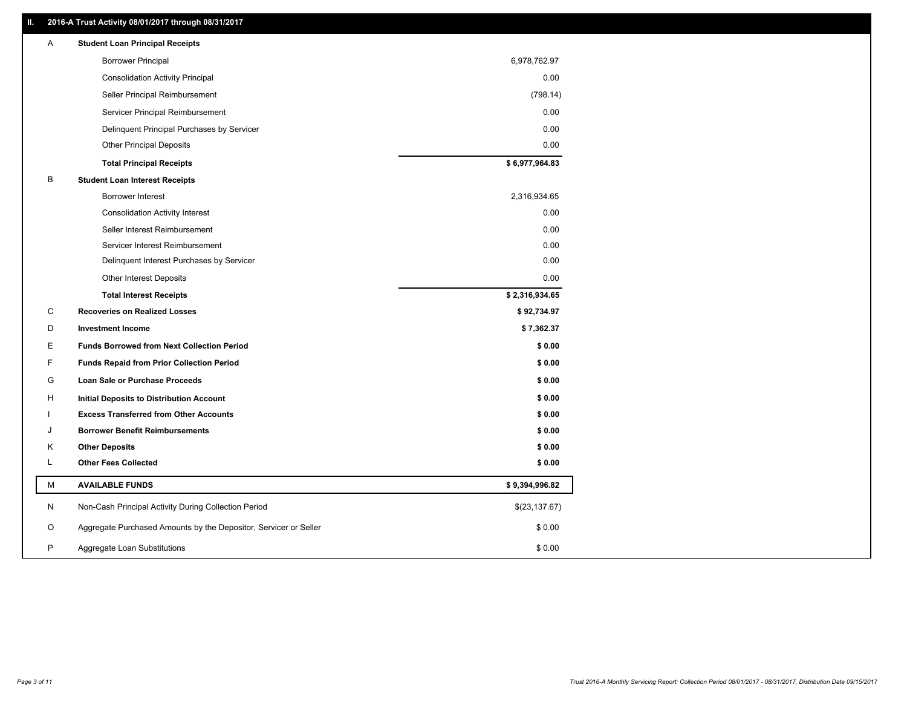# **II. 2016-A Trust Activity 08/01/2017 through 08/31/2017**

| Α | <b>Student Loan Principal Receipts</b>                           |                |  |
|---|------------------------------------------------------------------|----------------|--|
|   | <b>Borrower Principal</b>                                        | 6,978,762.97   |  |
|   | <b>Consolidation Activity Principal</b>                          | 0.00           |  |
|   | Seller Principal Reimbursement                                   | (798.14)       |  |
|   | Servicer Principal Reimbursement                                 | 0.00           |  |
|   | Delinquent Principal Purchases by Servicer                       | 0.00           |  |
|   | <b>Other Principal Deposits</b>                                  | 0.00           |  |
|   | <b>Total Principal Receipts</b>                                  | \$6,977,964.83 |  |
| В | <b>Student Loan Interest Receipts</b>                            |                |  |
|   | <b>Borrower Interest</b>                                         | 2,316,934.65   |  |
|   | <b>Consolidation Activity Interest</b>                           | 0.00           |  |
|   | Seller Interest Reimbursement                                    | 0.00           |  |
|   | Servicer Interest Reimbursement                                  | 0.00           |  |
|   | Delinquent Interest Purchases by Servicer                        | 0.00           |  |
|   | <b>Other Interest Deposits</b>                                   | 0.00           |  |
|   | <b>Total Interest Receipts</b>                                   | \$2,316,934.65 |  |
| C | <b>Recoveries on Realized Losses</b>                             | \$92,734.97    |  |
| D | <b>Investment Income</b>                                         | \$7,362.37     |  |
| Е | <b>Funds Borrowed from Next Collection Period</b>                | \$0.00         |  |
| F | <b>Funds Repaid from Prior Collection Period</b>                 | \$0.00         |  |
| G | <b>Loan Sale or Purchase Proceeds</b>                            | \$0.00         |  |
| H | Initial Deposits to Distribution Account                         | \$0.00         |  |
|   | <b>Excess Transferred from Other Accounts</b>                    | \$0.00         |  |
| J | <b>Borrower Benefit Reimbursements</b>                           | \$0.00         |  |
| Κ | <b>Other Deposits</b>                                            | \$0.00         |  |
| Г | <b>Other Fees Collected</b>                                      | \$0.00         |  |
| M | <b>AVAILABLE FUNDS</b>                                           | \$9,394,996.82 |  |
| N | Non-Cash Principal Activity During Collection Period             | \$(23, 137.67) |  |
| O | Aggregate Purchased Amounts by the Depositor, Servicer or Seller | \$0.00         |  |
| P | Aggregate Loan Substitutions                                     | \$0.00         |  |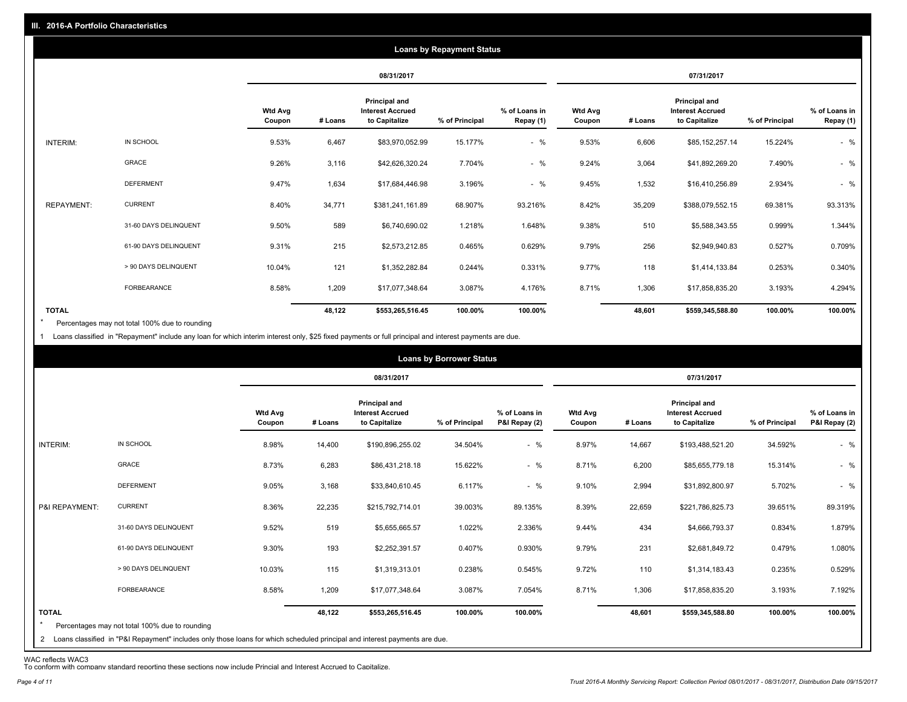|                   |                       |                          |         |                                                                  | <b>Loans by Repayment Status</b> |                            |                          |         |                                                                  |                |                            |
|-------------------|-----------------------|--------------------------|---------|------------------------------------------------------------------|----------------------------------|----------------------------|--------------------------|---------|------------------------------------------------------------------|----------------|----------------------------|
|                   |                       |                          |         | 08/31/2017                                                       |                                  |                            |                          |         | 07/31/2017                                                       |                |                            |
|                   |                       | <b>Wtd Avg</b><br>Coupon | # Loans | <b>Principal and</b><br><b>Interest Accrued</b><br>to Capitalize | % of Principal                   | % of Loans in<br>Repay (1) | <b>Wtd Avg</b><br>Coupon | # Loans | <b>Principal and</b><br><b>Interest Accrued</b><br>to Capitalize | % of Principal | % of Loans in<br>Repay (1) |
| INTERIM:          | IN SCHOOL             | 9.53%                    | 6,467   | \$83,970,052.99                                                  | 15.177%                          | $-$ %                      | 9.53%                    | 6,606   | \$85,152,257.14                                                  | 15.224%        | $-$ %                      |
|                   | <b>GRACE</b>          | 9.26%                    | 3,116   | \$42,626,320.24                                                  | 7.704%                           | $-$ %                      | 9.24%                    | 3,064   | \$41,892,269.20                                                  | 7.490%         | $-$ %                      |
|                   | <b>DEFERMENT</b>      | 9.47%                    | 1,634   | \$17,684,446.98                                                  | 3.196%                           | $-$ %                      | 9.45%                    | 1,532   | \$16,410,256.89                                                  | 2.934%         | $-$ %                      |
| <b>REPAYMENT:</b> | <b>CURRENT</b>        | 8.40%                    | 34,771  | \$381,241,161.89                                                 | 68.907%                          | 93.216%                    | 8.42%                    | 35,209  | \$388,079,552.15                                                 | 69.381%        | 93.313%                    |
|                   | 31-60 DAYS DELINQUENT | 9.50%                    | 589     | \$6,740,690.02                                                   | 1.218%                           | 1.648%                     | 9.38%                    | 510     | \$5,588,343.55                                                   | 0.999%         | 1.344%                     |
|                   | 61-90 DAYS DELINQUENT | 9.31%                    | 215     | \$2,573,212.85                                                   | 0.465%                           | 0.629%                     | 9.79%                    | 256     | \$2,949,940.83                                                   | 0.527%         | 0.709%                     |
|                   | > 90 DAYS DELINQUENT  | 10.04%                   | 121     | \$1,352,282.84                                                   | 0.244%                           | 0.331%                     | 9.77%                    | 118     | \$1,414,133.84                                                   | 0.253%         | 0.340%                     |
|                   | FORBEARANCE           | 8.58%                    | 1,209   | \$17,077,348.64                                                  | 3.087%                           | 4.176%                     | 8.71%                    | 1,306   | \$17,858,835.20                                                  | 3.193%         | 4.294%                     |
| <b>TOTAL</b>      |                       |                          | 48,122  | \$553,265,516.45                                                 | 100.00%                          | 100.00%                    |                          | 48,601  | \$559,345,588.80                                                 | 100.00%        | 100.00%                    |

Percentages may not total 100% due to rounding  $\star$ 

1 Loans classified in "Repayment" include any loan for which interim interest only, \$25 fixed payments or full principal and interest payments are due.

|                         |                                                                                                                              |                          |         |                                                                  | <b>Loans by Borrower Status</b> |                                |                          |         |                                                                  |                |                                |
|-------------------------|------------------------------------------------------------------------------------------------------------------------------|--------------------------|---------|------------------------------------------------------------------|---------------------------------|--------------------------------|--------------------------|---------|------------------------------------------------------------------|----------------|--------------------------------|
|                         |                                                                                                                              |                          |         | 08/31/2017                                                       |                                 |                                |                          |         | 07/31/2017                                                       |                |                                |
|                         |                                                                                                                              | <b>Wtd Avg</b><br>Coupon | # Loans | <b>Principal and</b><br><b>Interest Accrued</b><br>to Capitalize | % of Principal                  | % of Loans in<br>P&I Repay (2) | <b>Wtd Avg</b><br>Coupon | # Loans | <b>Principal and</b><br><b>Interest Accrued</b><br>to Capitalize | % of Principal | % of Loans in<br>P&I Repay (2) |
| INTERIM:                | IN SCHOOL                                                                                                                    | 8.98%                    | 14,400  | \$190,896,255.02                                                 | 34.504%                         | $-$ %                          | 8.97%                    | 14,667  | \$193,488,521.20                                                 | 34.592%        | $-$ %                          |
|                         | GRACE                                                                                                                        | 8.73%                    | 6,283   | \$86,431,218.18                                                  | 15.622%                         | $-$ %                          | 8.71%                    | 6,200   | \$85,655,779.18                                                  | 15.314%        | $-$ %                          |
|                         | <b>DEFERMENT</b>                                                                                                             | 9.05%                    | 3,168   | \$33,840,610.45                                                  | 6.117%                          | $-$ %                          | 9.10%                    | 2,994   | \$31,892,800.97                                                  | 5.702%         | $-$ %                          |
| P&I REPAYMENT:          | <b>CURRENT</b>                                                                                                               | 8.36%                    | 22,235  | \$215,792,714.01                                                 | 39.003%                         | 89.135%                        | 8.39%                    | 22,659  | \$221,786,825.73                                                 | 39.651%        | 89.319%                        |
|                         | 31-60 DAYS DELINQUENT                                                                                                        | 9.52%                    | 519     | \$5,655,665.57                                                   | 1.022%                          | 2.336%                         | 9.44%                    | 434     | \$4,666,793.37                                                   | 0.834%         | 1.879%                         |
|                         | 61-90 DAYS DELINQUENT                                                                                                        | 9.30%                    | 193     | \$2,252,391.57                                                   | 0.407%                          | 0.930%                         | 9.79%                    | 231     | \$2,681,849.72                                                   | 0.479%         | 1.080%                         |
|                         | > 90 DAYS DELINQUENT                                                                                                         | 10.03%                   | 115     | \$1,319,313.01                                                   | 0.238%                          | 0.545%                         | 9.72%                    | 110     | \$1,314,183.43                                                   | 0.235%         | 0.529%                         |
|                         | <b>FORBEARANCE</b>                                                                                                           | 8.58%                    | 1,209   | \$17,077,348.64                                                  | 3.087%                          | 7.054%                         | 8.71%                    | 1,306   | \$17,858,835.20                                                  | 3.193%         | 7.192%                         |
| <b>TOTAL</b><br>$\star$ | Percentages may not total 100% due to rounding                                                                               |                          | 48,122  | \$553,265,516.45                                                 | 100.00%                         | 100.00%                        |                          | 48,601  | \$559,345,588.80                                                 | 100.00%        | 100.00%                        |
|                         | 2 Loans classified in "P&I Repayment" includes only those loans for which scheduled principal and interest payments are due. |                          |         |                                                                  |                                 |                                |                          |         |                                                                  |                |                                |

WAC reflects WAC3 To conform with company standard reporting these sections now include Princial and Interest Accrued to Capitalize.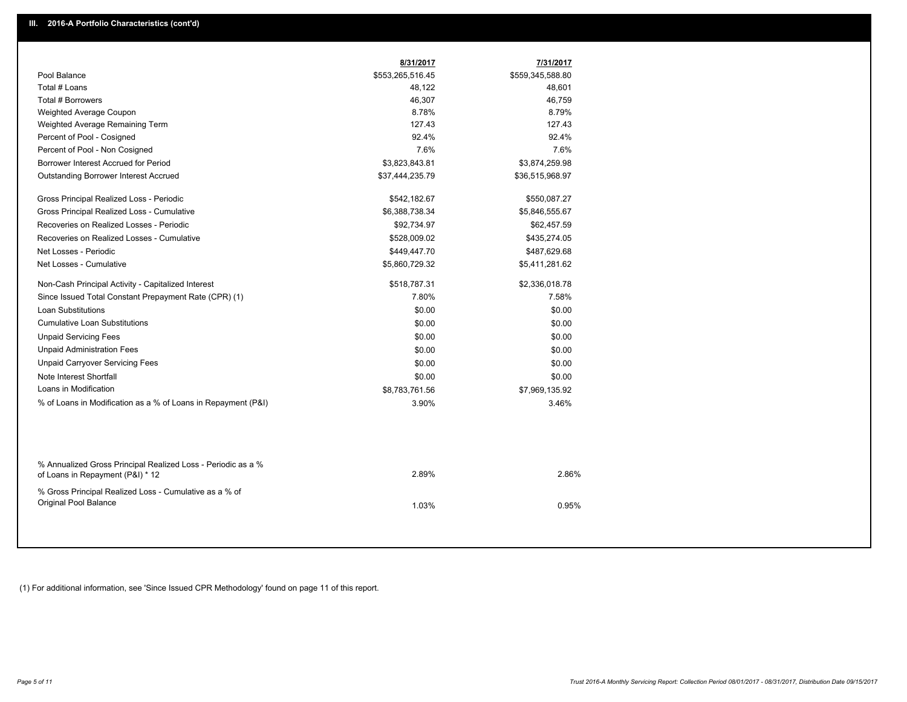|                                                                                                  | 8/31/2017        | 7/31/2017        |
|--------------------------------------------------------------------------------------------------|------------------|------------------|
| Pool Balance                                                                                     | \$553,265,516.45 | \$559,345,588.80 |
| Total # Loans                                                                                    | 48,122           | 48,601           |
| Total # Borrowers                                                                                | 46,307           | 46,759           |
| Weighted Average Coupon                                                                          | 8.78%            | 8.79%            |
| Weighted Average Remaining Term                                                                  | 127.43           | 127.43           |
| Percent of Pool - Cosigned                                                                       | 92.4%            | 92.4%            |
| Percent of Pool - Non Cosigned                                                                   | 7.6%             | 7.6%             |
| Borrower Interest Accrued for Period                                                             | \$3,823,843.81   | \$3,874,259.98   |
| <b>Outstanding Borrower Interest Accrued</b>                                                     | \$37,444,235.79  | \$36,515,968.97  |
| Gross Principal Realized Loss - Periodic                                                         | \$542,182.67     | \$550,087.27     |
| Gross Principal Realized Loss - Cumulative                                                       | \$6,388,738.34   | \$5,846,555.67   |
| Recoveries on Realized Losses - Periodic                                                         | \$92,734.97      | \$62,457.59      |
| Recoveries on Realized Losses - Cumulative                                                       | \$528,009.02     | \$435,274.05     |
| Net Losses - Periodic                                                                            | \$449,447.70     | \$487,629.68     |
| Net Losses - Cumulative                                                                          | \$5,860,729.32   | \$5,411,281.62   |
| Non-Cash Principal Activity - Capitalized Interest                                               | \$518,787.31     | \$2,336,018.78   |
| Since Issued Total Constant Prepayment Rate (CPR) (1)                                            | 7.80%            | 7.58%            |
| <b>Loan Substitutions</b>                                                                        | \$0.00           | \$0.00           |
| <b>Cumulative Loan Substitutions</b>                                                             | \$0.00           | \$0.00           |
| <b>Unpaid Servicing Fees</b>                                                                     | \$0.00           | \$0.00           |
| <b>Unpaid Administration Fees</b>                                                                | \$0.00           | \$0.00           |
| <b>Unpaid Carryover Servicing Fees</b>                                                           | \$0.00           | \$0.00           |
| Note Interest Shortfall                                                                          | \$0.00           | \$0.00           |
| Loans in Modification                                                                            | \$8,783,761.56   | \$7,969,135.92   |
| % of Loans in Modification as a % of Loans in Repayment (P&I)                                    | 3.90%            | 3.46%            |
|                                                                                                  |                  |                  |
| % Annualized Gross Principal Realized Loss - Periodic as a %<br>of Loans in Repayment (P&I) * 12 | 2.89%            | 2.86%            |
| % Gross Principal Realized Loss - Cumulative as a % of<br>Original Pool Balance                  | 1.03%            | 0.95%            |

(1) For additional information, see 'Since Issued CPR Methodology' found on page 11 of this report.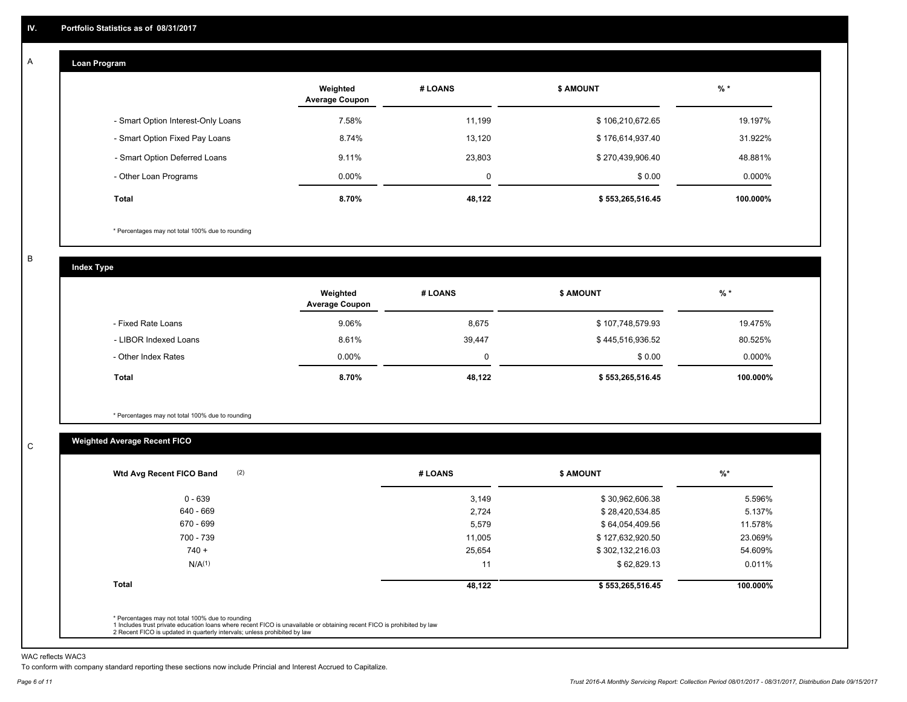#### **Loan Program**  A

|                                    | Weighted<br><b>Average Coupon</b> | # LOANS | <b>\$ AMOUNT</b> | $%$ *    |
|------------------------------------|-----------------------------------|---------|------------------|----------|
| - Smart Option Interest-Only Loans | 7.58%                             | 11,199  | \$106,210,672.65 | 19.197%  |
| - Smart Option Fixed Pay Loans     | 8.74%                             | 13.120  | \$176,614,937.40 | 31.922%  |
| - Smart Option Deferred Loans      | 9.11%                             | 23.803  | \$270,439,906.40 | 48.881%  |
| - Other Loan Programs              | $0.00\%$                          | 0       | \$0.00           | 0.000%   |
| <b>Total</b>                       | 8.70%                             | 48,122  | \$553,265,516.45 | 100.000% |

\* Percentages may not total 100% due to rounding

B

C

**Index Type**

|                       | Weighted<br><b>Average Coupon</b> | # LOANS  | \$ AMOUNT        | % *       |
|-----------------------|-----------------------------------|----------|------------------|-----------|
| - Fixed Rate Loans    | 9.06%                             | 8,675    | \$107,748,579.93 | 19.475%   |
| - LIBOR Indexed Loans | 8.61%                             | 39,447   | \$445,516,936.52 | 80.525%   |
| - Other Index Rates   | $0.00\%$                          | $\Omega$ | \$0.00           | $0.000\%$ |
| Total                 | 8.70%                             | 48,122   | \$553,265,516.45 | 100.000%  |

\* Percentages may not total 100% due to rounding

# **Weighted Average Recent FICO**

| $0 - 639$          | 3,149  | \$30,962,606.38  | 5.596%   |
|--------------------|--------|------------------|----------|
| 640 - 669          | 2,724  | \$28,420,534.85  | 5.137%   |
| 670 - 699          | 5,579  | \$64,054,409.56  | 11.578%  |
| 700 - 739          | 11,005 | \$127,632,920.50 | 23.069%  |
| $740 +$            | 25,654 | \$302,132,216.03 | 54.609%  |
| N/A <sup>(1)</sup> | 11     | \$62,829.13      | 0.011%   |
| <b>Total</b>       | 48,122 | \$553,265,516.45 | 100.000% |

WAC reflects WAC3

To conform with company standard reporting these sections now include Princial and Interest Accrued to Capitalize.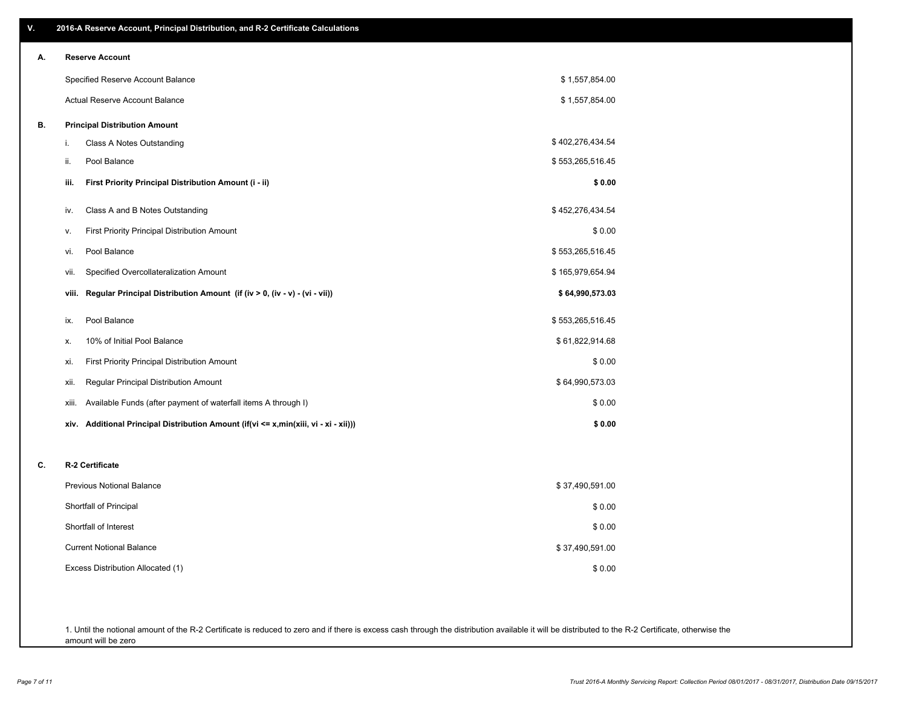| ۷. | 2016-A Reserve Account, Principal Distribution, and R-2 Certificate Calculations     |                  |  |
|----|--------------------------------------------------------------------------------------|------------------|--|
| А. | <b>Reserve Account</b>                                                               |                  |  |
|    | Specified Reserve Account Balance                                                    | \$1,557,854.00   |  |
|    | Actual Reserve Account Balance                                                       | \$1,557,854.00   |  |
| В. | <b>Principal Distribution Amount</b>                                                 |                  |  |
|    | i.<br>Class A Notes Outstanding                                                      | \$402,276,434.54 |  |
|    | Pool Balance<br>ii.                                                                  | \$553,265,516.45 |  |
|    | First Priority Principal Distribution Amount (i - ii)<br>iii.                        | \$0.00           |  |
|    | Class A and B Notes Outstanding<br>iv.                                               | \$452,276,434.54 |  |
|    | <b>First Priority Principal Distribution Amount</b><br>ν.                            | \$0.00           |  |
|    | Pool Balance<br>vi.                                                                  | \$553,265,516.45 |  |
|    | Specified Overcollateralization Amount<br>vii.                                       | \$165,979,654.94 |  |
|    | Regular Principal Distribution Amount (if (iv > 0, (iv - v) - (vi - vii))<br>viii.   | \$64,990,573.03  |  |
|    | Pool Balance<br>ix.                                                                  | \$553,265,516.45 |  |
|    | 10% of Initial Pool Balance<br>х.                                                    | \$61,822,914.68  |  |
|    | First Priority Principal Distribution Amount<br>xi.                                  | \$0.00           |  |
|    | Regular Principal Distribution Amount<br>xii.                                        | \$64,990,573.03  |  |
|    | Available Funds (after payment of waterfall items A through I)<br>xiii.              | \$0.00           |  |
|    | xiv. Additional Principal Distribution Amount (if(vi <= x,min(xiii, vi - xi - xii))) | \$0.00           |  |
| C. | R-2 Certificate                                                                      |                  |  |
|    | <b>Previous Notional Balance</b>                                                     | \$37,490,591.00  |  |
|    | Shortfall of Principal                                                               | \$0.00           |  |
|    | Shortfall of Interest                                                                | \$0.00           |  |
|    | <b>Current Notional Balance</b>                                                      | \$37,490,591.00  |  |
|    | Excess Distribution Allocated (1)                                                    | \$0.00           |  |
|    |                                                                                      |                  |  |
|    |                                                                                      |                  |  |
|    |                                                                                      |                  |  |

1. Until the notional amount of the R-2 Certificate is reduced to zero and if there is excess cash through the distribution available it will be distributed to the R-2 Certificate, otherwise the amount will be zero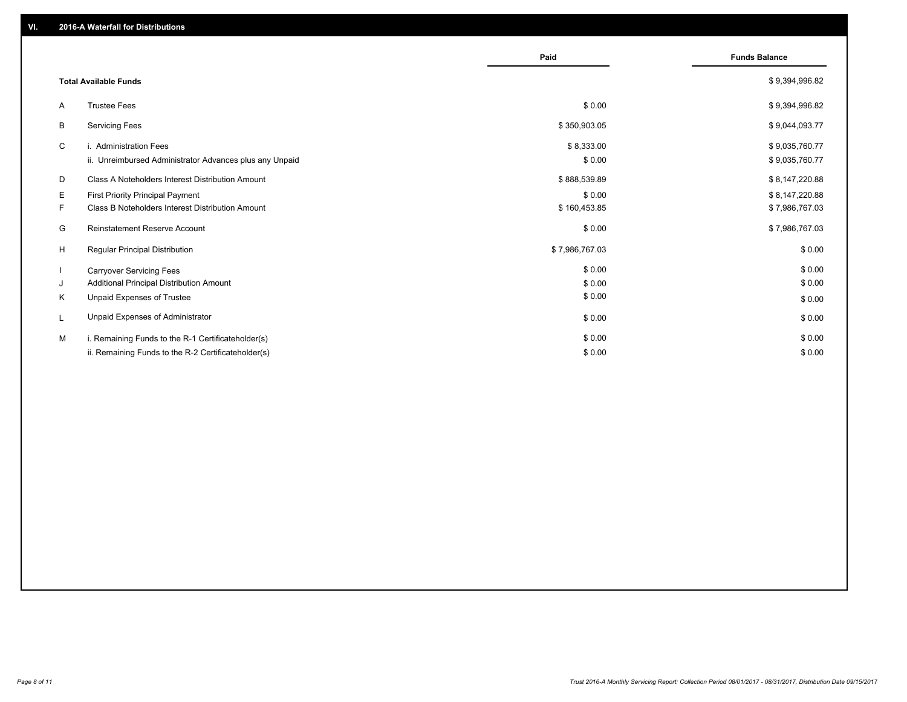|                                                               | Paid           | <b>Funds Balance</b> |
|---------------------------------------------------------------|----------------|----------------------|
| <b>Total Available Funds</b>                                  |                | \$9,394,996.82       |
| <b>Trustee Fees</b><br>A                                      | \$0.00         | \$9,394,996.82       |
| <b>Servicing Fees</b><br>В                                    | \$350,903.05   | \$9,044,093.77       |
| C<br>i. Administration Fees                                   | \$8,333.00     | \$9,035,760.77       |
| ii. Unreimbursed Administrator Advances plus any Unpaid       | \$0.00         | \$9,035,760.77       |
| Class A Noteholders Interest Distribution Amount<br>D         | \$888,539.89   | \$8,147,220.88       |
| Е<br>First Priority Principal Payment                         | \$0.00         | \$8,147,220.88       |
| <b>Class B Noteholders Interest Distribution Amount</b><br>F. | \$160,453.85   | \$7,986,767.03       |
| <b>Reinstatement Reserve Account</b><br>G                     | \$0.00         | \$7,986,767.03       |
| H<br>Regular Principal Distribution                           | \$7,986,767.03 | \$0.00               |
| <b>Carryover Servicing Fees</b>                               | \$0.00         | \$0.00               |
| Additional Principal Distribution Amount<br>J                 | \$0.00         | \$0.00               |
| Κ<br>Unpaid Expenses of Trustee                               | \$0.00         | \$0.00               |
| Unpaid Expenses of Administrator<br>L                         | \$0.00         | \$0.00               |
| i. Remaining Funds to the R-1 Certificateholder(s)<br>м       | \$0.00         | \$0.00               |
| ii. Remaining Funds to the R-2 Certificateholder(s)           | \$0.00         | \$0.00               |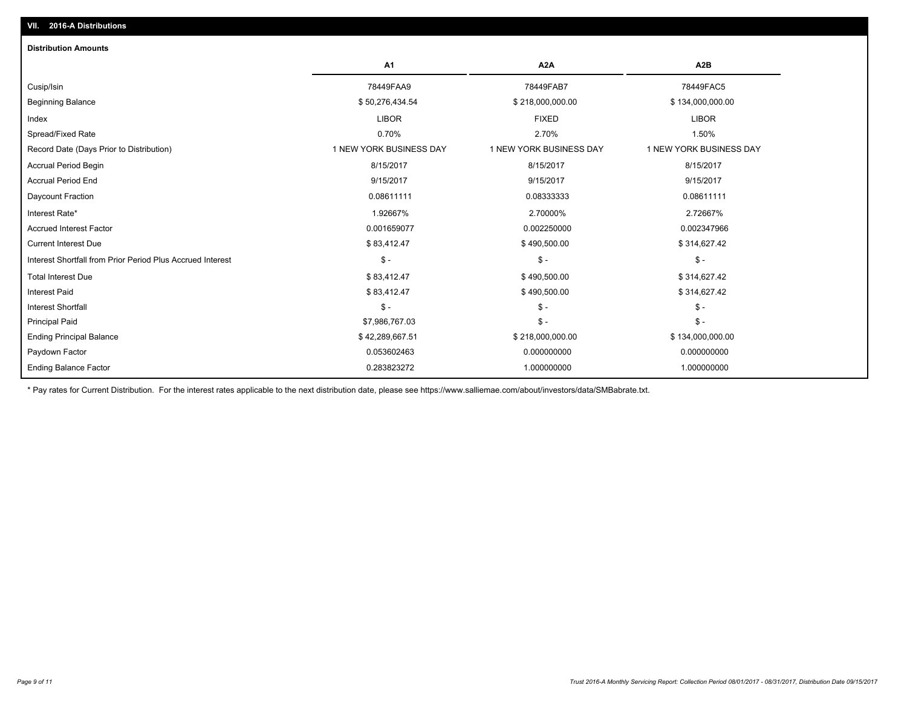| <b>Distribution Amounts</b>                                |                         |                         |                         |
|------------------------------------------------------------|-------------------------|-------------------------|-------------------------|
|                                                            | <b>A1</b>               | A <sub>2</sub> A        | A <sub>2</sub> B        |
| Cusip/Isin                                                 | 78449FAA9               | 78449FAB7               | 78449FAC5               |
| <b>Beginning Balance</b>                                   | \$50,276,434.54         | \$218,000,000.00        | \$134,000,000.00        |
| Index                                                      | <b>LIBOR</b>            | <b>FIXED</b>            | <b>LIBOR</b>            |
| Spread/Fixed Rate                                          | 0.70%                   | 2.70%                   | 1.50%                   |
| Record Date (Days Prior to Distribution)                   | 1 NEW YORK BUSINESS DAY | 1 NEW YORK BUSINESS DAY | 1 NEW YORK BUSINESS DAY |
| <b>Accrual Period Begin</b>                                | 8/15/2017               | 8/15/2017               | 8/15/2017               |
| <b>Accrual Period End</b>                                  | 9/15/2017               | 9/15/2017               | 9/15/2017               |
| Daycount Fraction                                          | 0.08611111              | 0.08333333              | 0.08611111              |
| Interest Rate*                                             | 1.92667%                | 2.70000%                | 2.72667%                |
| <b>Accrued Interest Factor</b>                             | 0.001659077             | 0.002250000             | 0.002347966             |
| <b>Current Interest Due</b>                                | \$83,412.47             | \$490,500.00            | \$314,627.42            |
| Interest Shortfall from Prior Period Plus Accrued Interest | $\mathsf{\$}$ -         | $\mathsf{\$}$ -         | $\mathsf{\$}$ -         |
| <b>Total Interest Due</b>                                  | \$83,412.47             | \$490,500.00            | \$314,627.42            |
| <b>Interest Paid</b>                                       | \$83,412.47             | \$490,500.00            | \$314,627.42            |
| <b>Interest Shortfall</b>                                  | $\mathsf{\$}$ -         | $\mathsf{\$}$ -         | $\mathsf{\$}$ -         |
| <b>Principal Paid</b>                                      | \$7,986,767.03          | $\mathsf{\$}$ -         | $\mathsf{\$}$ -         |
| <b>Ending Principal Balance</b>                            | \$42,289,667.51         | \$218,000,000.00        | \$134,000,000.00        |
| Paydown Factor                                             | 0.053602463             | 0.000000000             | 0.000000000             |
| <b>Ending Balance Factor</b>                               | 0.283823272             | 1.000000000             | 1.000000000             |

\* Pay rates for Current Distribution. For the interest rates applicable to the next distribution date, please see https://www.salliemae.com/about/investors/data/SMBabrate.txt.

**VII. 2016-A Distributions**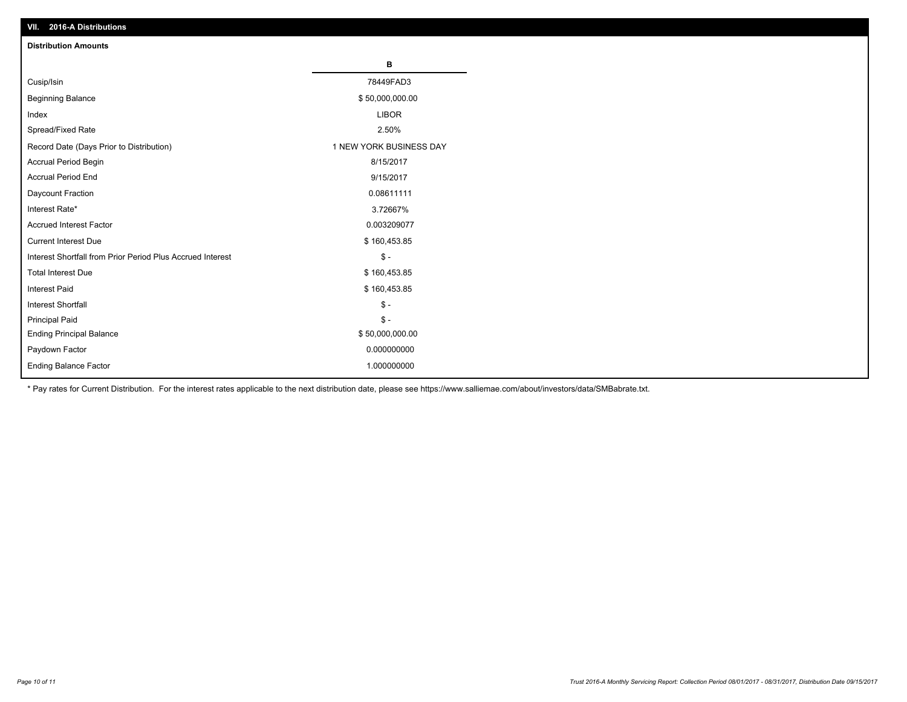| VII. ZU 10-A DISTIDUTIONS                                  |                         |
|------------------------------------------------------------|-------------------------|
| <b>Distribution Amounts</b>                                |                         |
|                                                            | в                       |
| Cusip/Isin                                                 | 78449FAD3               |
| <b>Beginning Balance</b>                                   | \$50,000,000.00         |
| Index                                                      | <b>LIBOR</b>            |
| Spread/Fixed Rate                                          | 2.50%                   |
| Record Date (Days Prior to Distribution)                   | 1 NEW YORK BUSINESS DAY |
| Accrual Period Begin                                       | 8/15/2017               |
| <b>Accrual Period End</b>                                  | 9/15/2017               |
| Daycount Fraction                                          | 0.08611111              |
| Interest Rate*                                             | 3.72667%                |
| <b>Accrued Interest Factor</b>                             | 0.003209077             |
| <b>Current Interest Due</b>                                | \$160,453.85            |
| Interest Shortfall from Prior Period Plus Accrued Interest | $$ -$                   |
| <b>Total Interest Due</b>                                  | \$160,453.85            |
| <b>Interest Paid</b>                                       | \$160,453.85            |
| Interest Shortfall                                         | $$ -$                   |
| <b>Principal Paid</b>                                      | $$ -$                   |
| <b>Ending Principal Balance</b>                            | \$50,000,000.00         |
| Paydown Factor                                             | 0.000000000             |
| <b>Ending Balance Factor</b>                               | 1.000000000             |

\* Pay rates for Current Distribution. For the interest rates applicable to the next distribution date, please see https://www.salliemae.com/about/investors/data/SMBabrate.txt.

**VII. 2016-A Distributions**